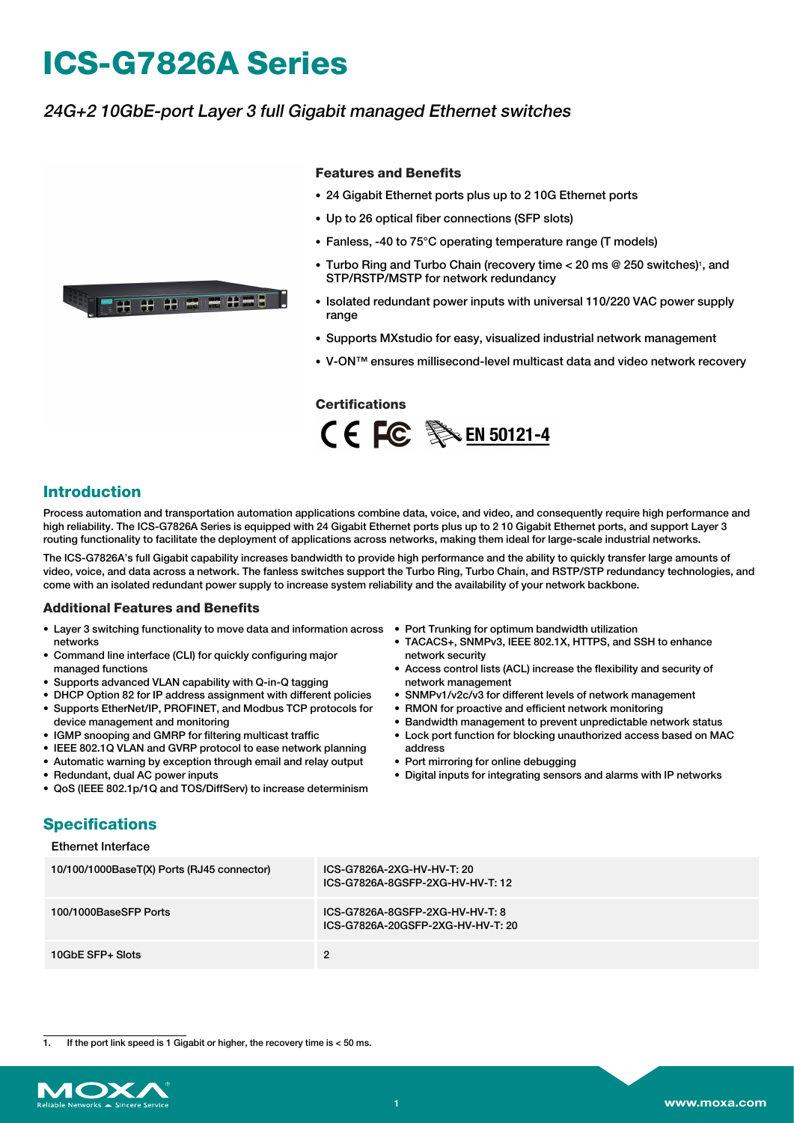# **ICS-G7826A Series**

### 24G+2 10GbE-port Layer 3 full Gigabit managed Ethernet switches



- 24 Gigabit Ethernet ports plus up to 2 10G Ethernet ports
- Up to 26 optical fiber connections (SFP slots)
- Fanless, -40 to 75°C operating temperature range (T models)
- Turbo Ring and Turbo Chain (recovery time < 20 ms @ 250 switches)<sup>1</sup>, and STP/RSTP/MSTP for network redundancy
- Isolated redundant power inputs with universal 110/220 VAC power supply range
- Supports MXstudio for easy, visualized industrial network management
- V-ON™ ensures millisecond-level multicast data and video network recovery

**Certifications** CE FC SA EN 50121-4

#### **Introduction**

Process automation and transportation automation applications combine data, voice, and video, and consequently require high performance and high reliability. The ICS-G7826A Series is equipped with 24 Gigabit Ethernet ports plus up to 2 10 Gigabit Ethernet ports, and support Layer 3 routing functionality to facilitate the deployment of applications across networks, making them ideal for large-scale industrial networks.

The ICS-G7826A's full Gigabit capability increases bandwidth to provide high performance and the ability to quickly transfer large amounts of video, voice, and data across a network. The fanless switches support the Turbo Ring, Turbo Chain, and RSTP/STP redundancy technologies, and come with an isolated redundant power supply to increase system reliability and the availability of your network backbone.

#### **Additional Features and Benefits**

- Layer 3 switching functionality to move data and information across Port Trunking for optimum bandwidth utilization networks
- Command line interface (CLI) for quickly configuring major managed functions
- Supports advanced VLAN capability with Q-in-Q tagging
- DHCP Option 82 for IP address assignment with different policies
- Supports EtherNet/IP, PROFINET, and Modbus TCP protocols for device management and monitoring
- IGMP snooping and GMRP for filtering multicast traffic
- IEEE 802.1Q VLAN and GVRP protocol to ease network planning
- Automatic warning by exception through email and relay output
- Redundant, dual AC power inputs
- QoS (IEEE 802.1p/1Q and TOS/DiffServ) to increase determinism
- 
- TACACS+, SNMPv3, IEEE 802.1X, HTTPS, and SSH to enhance network security
- Access control lists (ACL) increase the flexibility and security of network management
- SNMPv1/v2c/v3 for different levels of network management
- RMON for proactive and efficient network monitoring
- Bandwidth management to prevent unpredictable network status
- Lock port function for blocking unauthorized access based on MAC address
- Port mirroring for online debugging
- Digital inputs for integrating sensors and alarms with IP networks

#### **Specifications** Ethernet Interface

| 10/100/1000BaseT(X) Ports (RJ45 connector) | ICS-G7826A-2XG-HV-HV-T: 20<br>ICS-G7826A-8GSFP-2XG-HV-HV-T: 12       |
|--------------------------------------------|----------------------------------------------------------------------|
| 100/1000BaseSFP Ports                      | ICS-G7826A-8GSFP-2XG-HV-HV-T: 8<br>ICS-G7826A-20GSFP-2XG-HV-HV-T: 20 |
| 10GbE SFP+ Slots                           | 2                                                                    |

<sup>1.</sup> If the port link speed is 1 Gigabit or higher, the recovery time is < 50 ms.



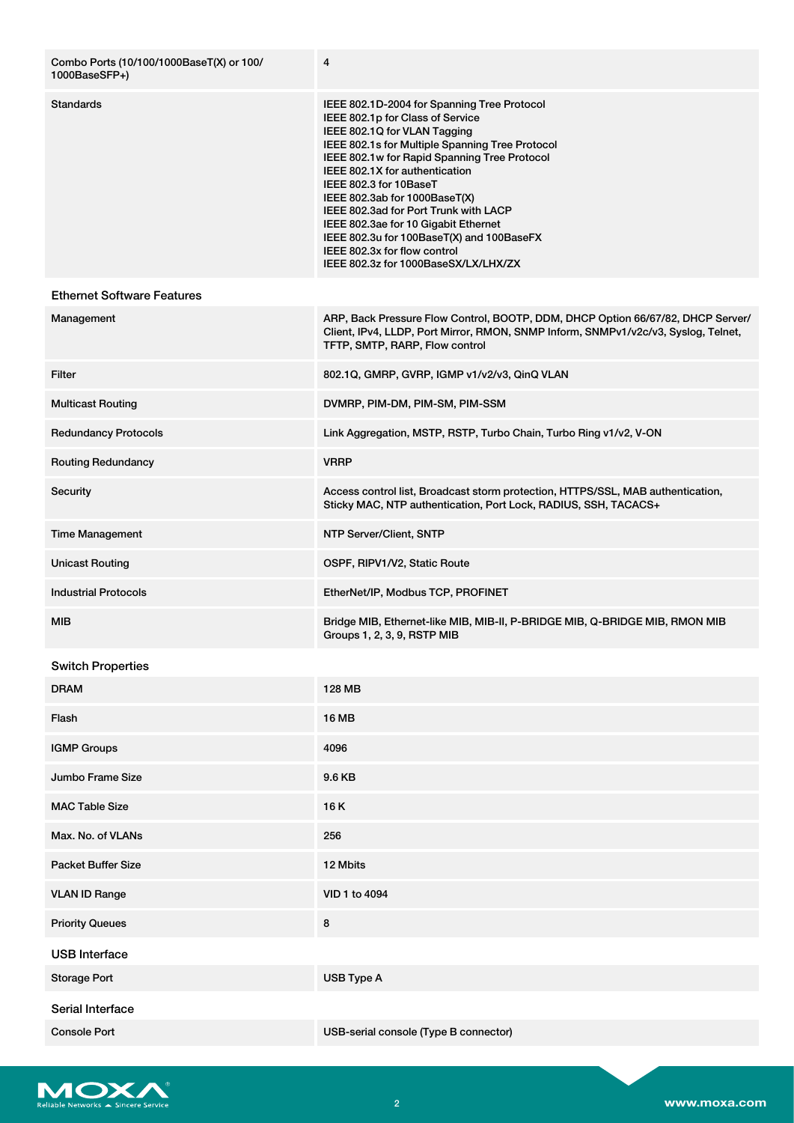| Combo Ports (10/100/1000BaseT(X) or 100/<br>1000BaseSFP+) | $\overline{4}$                                                                                                                                                                                                                                                                                                                                                                                                                                                                                                        |
|-----------------------------------------------------------|-----------------------------------------------------------------------------------------------------------------------------------------------------------------------------------------------------------------------------------------------------------------------------------------------------------------------------------------------------------------------------------------------------------------------------------------------------------------------------------------------------------------------|
| <b>Standards</b>                                          | IEEE 802.1D-2004 for Spanning Tree Protocol<br>IEEE 802.1p for Class of Service<br>IEEE 802.1Q for VLAN Tagging<br>IEEE 802.1s for Multiple Spanning Tree Protocol<br>IEEE 802.1w for Rapid Spanning Tree Protocol<br>IEEE 802.1X for authentication<br>IEEE 802.3 for 10BaseT<br>IEEE 802.3ab for 1000BaseT(X)<br>IEEE 802.3ad for Port Trunk with LACP<br>IEEE 802.3ae for 10 Gigabit Ethernet<br>IEEE 802.3u for 100BaseT(X) and 100BaseFX<br>IEEE 802.3x for flow control<br>IEEE 802.3z for 1000BaseSX/LX/LHX/ZX |
| <b>Ethernet Software Features</b>                         |                                                                                                                                                                                                                                                                                                                                                                                                                                                                                                                       |
| Management                                                | ARP, Back Pressure Flow Control, BOOTP, DDM, DHCP Option 66/67/82, DHCP Server/<br>Client, IPv4, LLDP, Port Mirror, RMON, SNMP Inform, SNMPv1/v2c/v3, Syslog, Telnet,<br>TFTP, SMTP, RARP, Flow control                                                                                                                                                                                                                                                                                                               |
| Filter                                                    | 802.1Q, GMRP, GVRP, IGMP v1/v2/v3, QinQ VLAN                                                                                                                                                                                                                                                                                                                                                                                                                                                                          |
| <b>Multicast Routing</b>                                  | DVMRP, PIM-DM, PIM-SM, PIM-SSM                                                                                                                                                                                                                                                                                                                                                                                                                                                                                        |
| <b>Redundancy Protocols</b>                               | Link Aggregation, MSTP, RSTP, Turbo Chain, Turbo Ring v1/v2, V-ON                                                                                                                                                                                                                                                                                                                                                                                                                                                     |
| <b>Routing Redundancy</b>                                 | <b>VRRP</b>                                                                                                                                                                                                                                                                                                                                                                                                                                                                                                           |
| Security                                                  | Access control list, Broadcast storm protection, HTTPS/SSL, MAB authentication,<br>Sticky MAC, NTP authentication, Port Lock, RADIUS, SSH, TACACS+                                                                                                                                                                                                                                                                                                                                                                    |
| <b>Time Management</b>                                    | NTP Server/Client, SNTP                                                                                                                                                                                                                                                                                                                                                                                                                                                                                               |
| <b>Unicast Routing</b>                                    | OSPF, RIPV1/V2, Static Route                                                                                                                                                                                                                                                                                                                                                                                                                                                                                          |
| <b>Industrial Protocols</b>                               | EtherNet/IP, Modbus TCP, PROFINET                                                                                                                                                                                                                                                                                                                                                                                                                                                                                     |
| MIB                                                       | Bridge MIB, Ethernet-like MIB, MIB-II, P-BRIDGE MIB, Q-BRIDGE MIB, RMON MIB<br>Groups 1, 2, 3, 9, RSTP MIB                                                                                                                                                                                                                                                                                                                                                                                                            |
| <b>Switch Properties</b>                                  |                                                                                                                                                                                                                                                                                                                                                                                                                                                                                                                       |
| <b>DRAM</b>                                               | 128 MB                                                                                                                                                                                                                                                                                                                                                                                                                                                                                                                |
| Flash                                                     | <b>16 MB</b>                                                                                                                                                                                                                                                                                                                                                                                                                                                                                                          |
| <b>IGMP Groups</b>                                        | 4096                                                                                                                                                                                                                                                                                                                                                                                                                                                                                                                  |
| Jumbo Frame Size                                          | 9.6 KB                                                                                                                                                                                                                                                                                                                                                                                                                                                                                                                |
| <b>MAC Table Size</b>                                     | 16K                                                                                                                                                                                                                                                                                                                                                                                                                                                                                                                   |
| Max. No. of VLANs                                         | 256                                                                                                                                                                                                                                                                                                                                                                                                                                                                                                                   |
| <b>Packet Buffer Size</b>                                 | 12 Mbits                                                                                                                                                                                                                                                                                                                                                                                                                                                                                                              |
| <b>VLAN ID Range</b>                                      | VID 1 to 4094                                                                                                                                                                                                                                                                                                                                                                                                                                                                                                         |
| <b>Priority Queues</b>                                    | 8                                                                                                                                                                                                                                                                                                                                                                                                                                                                                                                     |
| <b>USB</b> Interface                                      |                                                                                                                                                                                                                                                                                                                                                                                                                                                                                                                       |
| <b>Storage Port</b>                                       | USB Type A                                                                                                                                                                                                                                                                                                                                                                                                                                                                                                            |
| Serial Interface                                          |                                                                                                                                                                                                                                                                                                                                                                                                                                                                                                                       |
| <b>Console Port</b>                                       | USB-serial console (Type B connector)                                                                                                                                                                                                                                                                                                                                                                                                                                                                                 |

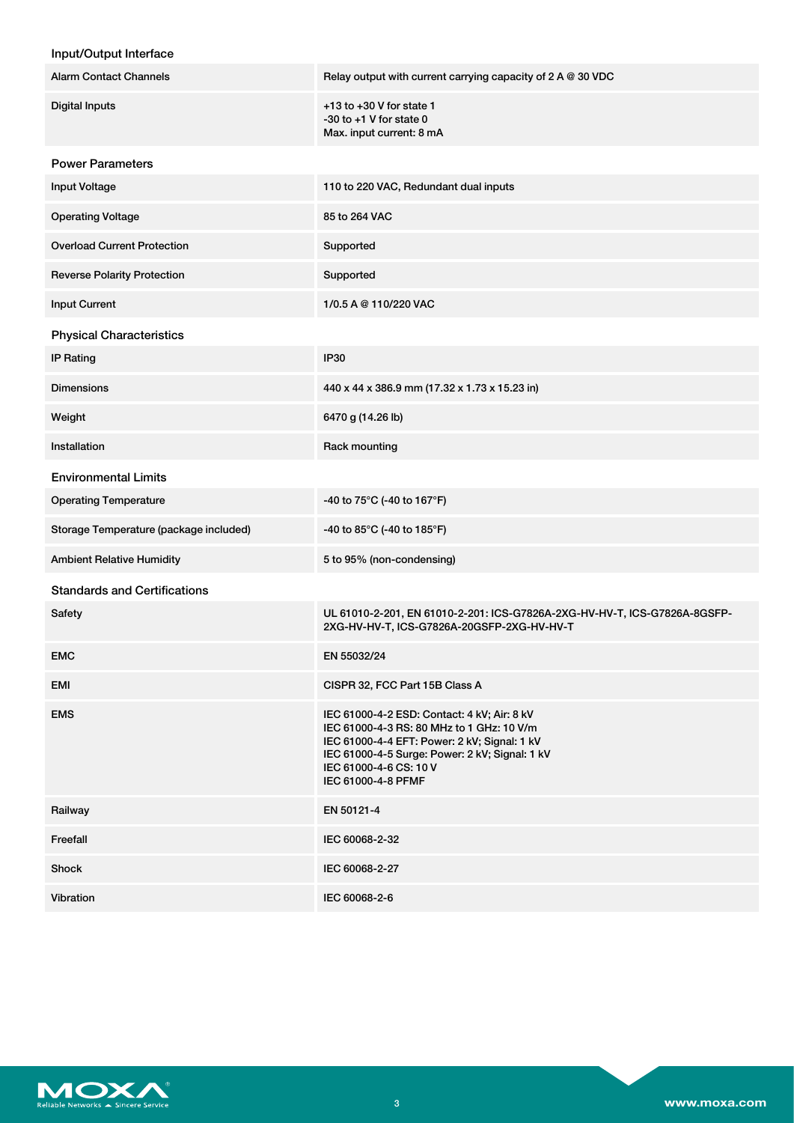| Input/Output Interface                 |                                                                                                                                                                                                                                            |
|----------------------------------------|--------------------------------------------------------------------------------------------------------------------------------------------------------------------------------------------------------------------------------------------|
| <b>Alarm Contact Channels</b>          | Relay output with current carrying capacity of $2 A @ 30 VDC$                                                                                                                                                                              |
| <b>Digital Inputs</b>                  | $+13$ to $+30$ V for state 1<br>$-30$ to $+1$ V for state 0<br>Max. input current: 8 mA                                                                                                                                                    |
| <b>Power Parameters</b>                |                                                                                                                                                                                                                                            |
| Input Voltage                          | 110 to 220 VAC, Redundant dual inputs                                                                                                                                                                                                      |
| <b>Operating Voltage</b>               | 85 to 264 VAC                                                                                                                                                                                                                              |
| <b>Overload Current Protection</b>     | Supported                                                                                                                                                                                                                                  |
| <b>Reverse Polarity Protection</b>     | Supported                                                                                                                                                                                                                                  |
| <b>Input Current</b>                   | 1/0.5 A @ 110/220 VAC                                                                                                                                                                                                                      |
| <b>Physical Characteristics</b>        |                                                                                                                                                                                                                                            |
| <b>IP Rating</b>                       | <b>IP30</b>                                                                                                                                                                                                                                |
| <b>Dimensions</b>                      | 440 x 44 x 386.9 mm (17.32 x 1.73 x 15.23 in)                                                                                                                                                                                              |
| Weight                                 | 6470 g (14.26 lb)                                                                                                                                                                                                                          |
| Installation                           | Rack mounting                                                                                                                                                                                                                              |
| <b>Environmental Limits</b>            |                                                                                                                                                                                                                                            |
| <b>Operating Temperature</b>           | -40 to 75°C (-40 to 167°F)                                                                                                                                                                                                                 |
| Storage Temperature (package included) | -40 to 85°C (-40 to 185°F)                                                                                                                                                                                                                 |
| <b>Ambient Relative Humidity</b>       | 5 to 95% (non-condensing)                                                                                                                                                                                                                  |
| <b>Standards and Certifications</b>    |                                                                                                                                                                                                                                            |
| Safety                                 | UL 61010-2-201, EN 61010-2-201: ICS-G7826A-2XG-HV-HV-T, ICS-G7826A-8GSFP-<br>2XG-HV-HV-T, ICS-G7826A-20GSFP-2XG-HV-HV-T                                                                                                                    |
| <b>EMC</b>                             | EN 55032/24                                                                                                                                                                                                                                |
| EMI                                    | CISPR 32, FCC Part 15B Class A                                                                                                                                                                                                             |
| <b>EMS</b>                             | IEC 61000-4-2 ESD: Contact: 4 kV; Air: 8 kV<br>IEC 61000-4-3 RS: 80 MHz to 1 GHz: 10 V/m<br>IEC 61000-4-4 EFT: Power: 2 kV; Signal: 1 kV<br>IEC 61000-4-5 Surge: Power: 2 kV; Signal: 1 kV<br>IEC 61000-4-6 CS: 10 V<br>IEC 61000-4-8 PFMF |
| Railway                                | EN 50121-4                                                                                                                                                                                                                                 |
| Freefall                               | IEC 60068-2-32                                                                                                                                                                                                                             |
| Shock                                  | IEC 60068-2-27                                                                                                                                                                                                                             |



Vibration IEC 60068-2-6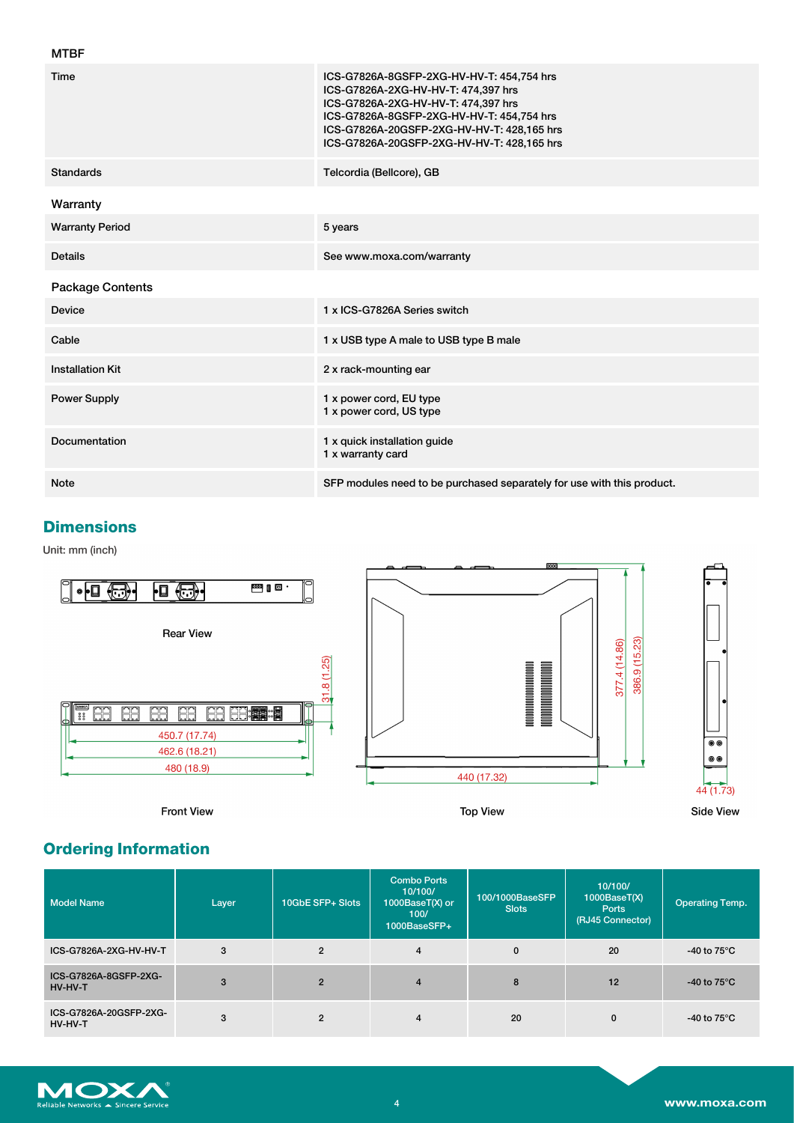| <b>MTBF</b>             |                                                                                                                                                                                                                                                                  |
|-------------------------|------------------------------------------------------------------------------------------------------------------------------------------------------------------------------------------------------------------------------------------------------------------|
| Time                    | ICS-G7826A-8GSFP-2XG-HV-HV-T: 454,754 hrs<br>ICS-G7826A-2XG-HV-HV-T: 474,397 hrs<br>ICS-G7826A-2XG-HV-HV-T: 474,397 hrs<br>ICS-G7826A-8GSFP-2XG-HV-HV-T: 454,754 hrs<br>ICS-G7826A-20GSFP-2XG-HV-HV-T: 428,165 hrs<br>ICS-G7826A-20GSFP-2XG-HV-HV-T: 428,165 hrs |
| <b>Standards</b>        | Telcordia (Bellcore), GB                                                                                                                                                                                                                                         |
| Warranty                |                                                                                                                                                                                                                                                                  |
| <b>Warranty Period</b>  | 5 years                                                                                                                                                                                                                                                          |
| <b>Details</b>          | See www.moxa.com/warranty                                                                                                                                                                                                                                        |
| <b>Package Contents</b> |                                                                                                                                                                                                                                                                  |
| <b>Device</b>           | 1 x ICS-G7826A Series switch                                                                                                                                                                                                                                     |
| Cable                   | 1 x USB type A male to USB type B male                                                                                                                                                                                                                           |
| <b>Installation Kit</b> | 2 x rack-mounting ear                                                                                                                                                                                                                                            |
| <b>Power Supply</b>     | 1 x power cord, EU type<br>1 x power cord, US type                                                                                                                                                                                                               |
| Documentation           | 1 x quick installation guide<br>1 x warranty card                                                                                                                                                                                                                |
|                         |                                                                                                                                                                                                                                                                  |

### **Dimensions**

Unit: mm (inch)



**Front View** 

**Top View** 



## **Ordering Information**

| <b>Model Name</b>                 | Layer | 10GbE SFP+ Slots | <b>Combo Ports</b><br>10/100/<br>1000BaseT(X) or<br>100/<br>1000BaseSFP+ | 100/1000BaseSFP<br><b>Slots</b> | 10/100/<br>1000BaseT(X)<br><b>Ports</b><br>(RJ45 Connector) | <b>Operating Temp.</b>         |
|-----------------------------------|-------|------------------|--------------------------------------------------------------------------|---------------------------------|-------------------------------------------------------------|--------------------------------|
| ICS-G7826A-2XG-HV-HV-T            | 3     | $\overline{2}$   | $\overline{4}$                                                           | $\mathbf{0}$                    | 20                                                          | -40 to $75^{\circ}$ C          |
| ICS-G7826A-8GSFP-2XG-<br>HV-HV-T  | 3     | $\overline{2}$   | $\overline{4}$                                                           | 8                               | 12                                                          | -40 to $75^{\circ}$ C          |
| ICS-G7826A-20GSFP-2XG-<br>HV-HV-T | 3     | $\overline{2}$   | $\overline{4}$                                                           | 20                              | 0                                                           | -40 to 75 $\mathrm{^{\circ}C}$ |

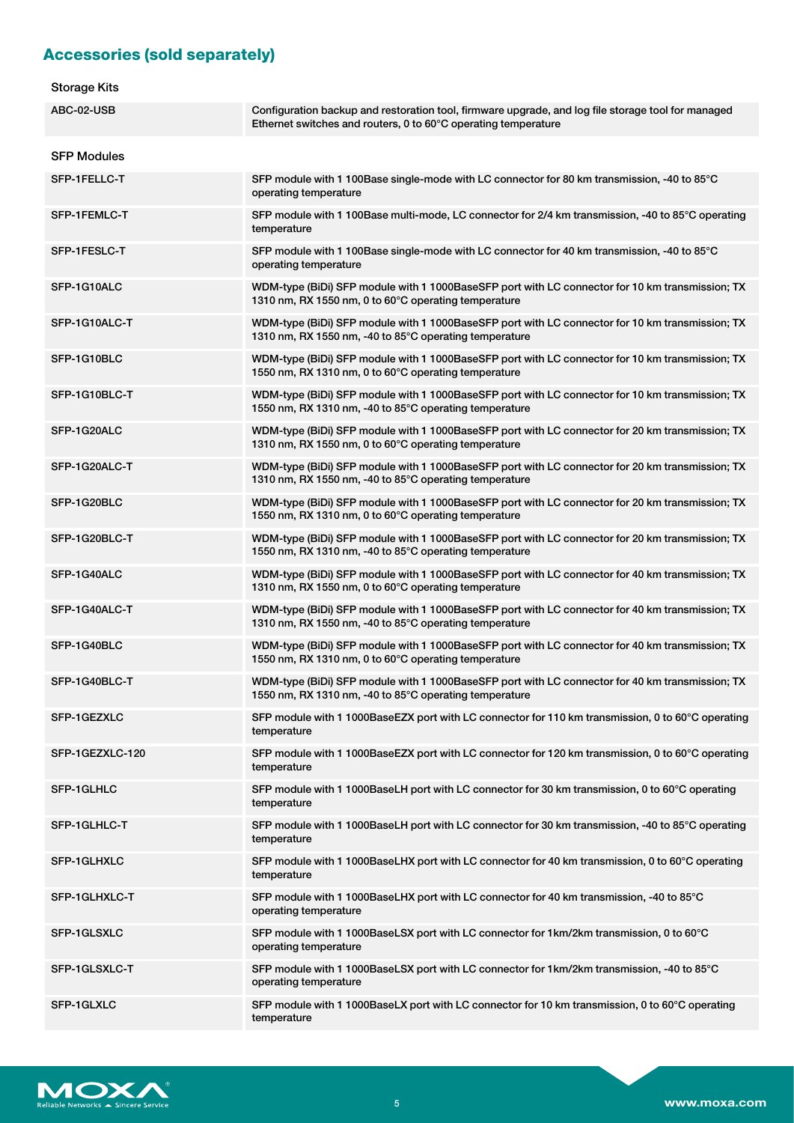## **Accessories (sold separately)**

| <b>Storage Kits</b> |  |
|---------------------|--|
|---------------------|--|

| oluraye Nils       |                                                                                                                                                                      |
|--------------------|----------------------------------------------------------------------------------------------------------------------------------------------------------------------|
| ABC-02-USB         | Configuration backup and restoration tool, firmware upgrade, and log file storage tool for managed<br>Ethernet switches and routers, 0 to 60°C operating temperature |
| <b>SFP Modules</b> |                                                                                                                                                                      |
| SFP-1FELLC-T       | SFP module with 1 100Base single-mode with LC connector for 80 km transmission, -40 to 85°C<br>operating temperature                                                 |
| SFP-1FEMLC-T       | SFP module with 1 100Base multi-mode, LC connector for 2/4 km transmission, -40 to 85°C operating<br>temperature                                                     |
| SFP-1FESLC-T       | SFP module with 1 100Base single-mode with LC connector for 40 km transmission, -40 to 85°C<br>operating temperature                                                 |
| SFP-1G10ALC        | WDM-type (BiDi) SFP module with 1 1000BaseSFP port with LC connector for 10 km transmission; TX<br>1310 nm, RX 1550 nm, 0 to 60°C operating temperature              |
| SFP-1G10ALC-T      | WDM-type (BiDi) SFP module with 1 1000BaseSFP port with LC connector for 10 km transmission; TX<br>1310 nm, RX 1550 nm, -40 to 85°C operating temperature            |
| SFP-1G10BLC        | WDM-type (BiDi) SFP module with 1 1000BaseSFP port with LC connector for 10 km transmission; TX<br>1550 nm, RX 1310 nm, 0 to 60°C operating temperature              |
| SFP-1G10BLC-T      | WDM-type (BiDi) SFP module with 1 1000BaseSFP port with LC connector for 10 km transmission; TX<br>1550 nm, RX 1310 nm, -40 to 85°C operating temperature            |
| SFP-1G20ALC        | WDM-type (BiDi) SFP module with 1 1000BaseSFP port with LC connector for 20 km transmission; TX<br>1310 nm, RX 1550 nm, 0 to 60°C operating temperature              |
| SFP-1G20ALC-T      | WDM-type (BiDi) SFP module with 1 1000BaseSFP port with LC connector for 20 km transmission; TX<br>1310 nm, RX 1550 nm, -40 to 85°C operating temperature            |
| SFP-1G20BLC        | WDM-type (BiDi) SFP module with 1 1000BaseSFP port with LC connector for 20 km transmission; TX<br>1550 nm, RX 1310 nm, 0 to 60°C operating temperature              |
| SFP-1G20BLC-T      | WDM-type (BiDi) SFP module with 1 1000BaseSFP port with LC connector for 20 km transmission; TX<br>1550 nm, RX 1310 nm, -40 to 85°C operating temperature            |
| SFP-1G40ALC        | WDM-type (BiDi) SFP module with 1 1000BaseSFP port with LC connector for 40 km transmission; TX<br>1310 nm, RX 1550 nm, 0 to 60°C operating temperature              |
| SFP-1G40ALC-T      | WDM-type (BiDi) SFP module with 1 1000BaseSFP port with LC connector for 40 km transmission; TX<br>1310 nm, RX 1550 nm, -40 to 85°C operating temperature            |
| SFP-1G40BLC        | WDM-type (BiDi) SFP module with 1 1000BaseSFP port with LC connector for 40 km transmission; TX<br>1550 nm, RX 1310 nm, 0 to 60°C operating temperature              |
| SFP-1G40BLC-T      | WDM-type (BiDi) SFP module with 1 1000BaseSFP port with LC connector for 40 km transmission; TX<br>1550 nm, RX 1310 nm, -40 to 85°C operating temperature            |
| SFP-1GEZXLC        | SFP module with 1 1000BaseEZX port with LC connector for 110 km transmission, 0 to 60 $\degree$ C operating<br>temperature                                           |
| SFP-1GEZXLC-120    | SFP module with 1 1000BaseEZX port with LC connector for 120 km transmission, 0 to 60°C operating<br>temperature                                                     |
| SFP-1GLHLC         | SFP module with 1 1000BaseLH port with LC connector for 30 km transmission, 0 to 60°C operating<br>temperature                                                       |
| SFP-1GLHLC-T       | SFP module with 1 1000BaseLH port with LC connector for 30 km transmission, -40 to 85°C operating<br>temperature                                                     |
| SFP-1GLHXLC        | SFP module with 1 1000BaseLHX port with LC connector for 40 km transmission, 0 to 60°C operating<br>temperature                                                      |
| SFP-1GLHXLC-T      | SFP module with 1 1000BaseLHX port with LC connector for 40 km transmission, -40 to 85°C<br>operating temperature                                                    |
| SFP-1GLSXLC        | SFP module with 1 1000BaseLSX port with LC connector for 1km/2km transmission, 0 to 60°C<br>operating temperature                                                    |
| SFP-1GLSXLC-T      | SFP module with 1 1000BaseLSX port with LC connector for 1km/2km transmission, -40 to 85°C<br>operating temperature                                                  |
| SFP-1GLXLC         | SFP module with 1 1000BaseLX port with LC connector for 10 km transmission, 0 to 60 $\degree$ C operating<br>temperature                                             |